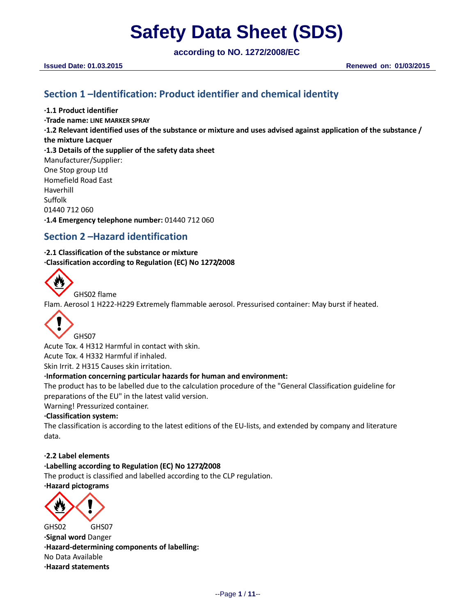**according to NO. 1272/2008/EC**

# **Section 1 –Identification: Product identifier and chemical identity**

**·1.1 Product identifier**

**·Trade name: LINE MARKER SPRAY ·1.2 Relevant identified uses of the substance or mixture and uses advised against application of the substance / the mixture Lacquer ·1.3 Details of the supplier of the safety data sheet** Manufacturer/Supplier: One Stop group Ltd Homefield Road East Haverhill Suffolk 01440 712 060 **·1.4 Emergency telephone number:** 01440 712 060

# **Section 2 –Hazard identification**

**·2.1 Classification of the substance or mixture ·Classification according to Regulation (EC) No 1272/2008**



GHS02 flame

Flam. Aerosol 1 H222-H229 Extremely flammable aerosol. Pressurised container: May burst if heated.



Acute Tox. 4 H312 Harmful in contact with skin. Acute Tox. 4 H332 Harmful if inhaled. Skin Irrit. 2 H315 Causes skin irritation.

# **·Information concerning particular hazards for human and environment:**

The product has to be labelled due to the calculation procedure of the "General Classification guideline for preparations of the EU" in the latest valid version.

Warning! Pressurized container.

### **·Classification system:**

The classification is according to the latest editions of the EU-lists, and extended by company and literature data.

### **·2.2 Label elements**

### **·Labelling according to Regulation (EC) No 1272/2008**

The product is classified and labelled according to the CLP regulation.

### **·Hazard pictograms**



GHS02 GHS07 **·Signal word** Danger **·Hazard-determining components of labelling:** No Data Available **·Hazard statements**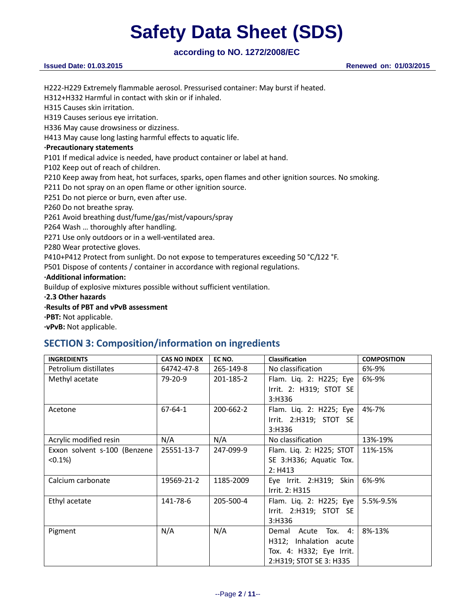# **according to NO. 1272/2008/EC**

H222-H229 Extremely flammable aerosol. Pressurised container: May burst if heated.

H312+H332 Harmful in contact with skin or if inhaled.

H315 Causes skin irritation.

H319 Causes serious eye irritation.

H336 May cause drowsiness or dizziness.

H413 May cause long lasting harmful effects to aquatic life.

### **·Precautionary statements**

P101 If medical advice is needed, have product container or label at hand.

P102 Keep out of reach of children.

P210 Keep away from heat, hot surfaces, sparks, open flames and other ignition sources. No smoking.

P211 Do not spray on an open flame or other ignition source.

P251 Do not pierce or burn, even after use.

P260 Do not breathe spray.

P261 Avoid breathing dust/fume/gas/mist/vapours/spray

P264 Wash … thoroughly after handling.

P271 Use only outdoors or in a well-ventilated area.

P280 Wear protective gloves.

P410+P412 Protect from sunlight. Do not expose to temperatures exceeding 50 °C/122 °F.

P501 Dispose of contents / container in accordance with regional regulations.

#### **·Additional information:**

Buildup of explosive mixtures possible without sufficient ventilation.

**·2.3 Other hazards**

## **·Results of PBT and vPvB assessment**

**·PBT:** Not applicable.

**·vPvB:** Not applicable.

# **SECTION 3: Composition/information on ingredients**

| <b>INGREDIENTS</b>           | <b>CAS NO INDEX</b> | EC NO.    | Classification           | <b>COMPOSITION</b> |
|------------------------------|---------------------|-----------|--------------------------|--------------------|
| Petrolium distillates        | 64742-47-8          | 265-149-8 | No classification        | 6%-9%              |
| Methyl acetate               | 79-20-9             | 201-185-2 | Flam. Liq. 2: H225; Eye  | 6%-9%              |
|                              |                     |           | Irrit. 2: H319; STOT SE  |                    |
|                              |                     |           | 3:H336                   |                    |
| Acetone                      | $67 - 64 - 1$       | 200-662-2 | Flam. Liq. 2: H225; Eye  | 4%-7%              |
|                              |                     |           | Irrit. 2:H319; STOT SE   |                    |
|                              |                     |           | 3:H336                   |                    |
| Acrylic modified resin       | N/A                 | N/A       | No classification        | 13%-19%            |
| Exxon solvent s-100 (Benzene | 25551-13-7          | 247-099-9 | Flam. Liq. 2: H225; STOT | 11%-15%            |
| $(0.1\%)$                    |                     |           | SE 3:H336; Aquatic Tox.  |                    |
|                              |                     |           | 2: H413                  |                    |
| Calcium carbonate            | 19569-21-2          | 1185-2009 | Eye Irrit. 2:H319; Skin  | 6%-9%              |
|                              |                     |           | Irrit. 2: H315           |                    |
| Ethyl acetate                | 141-78-6            | 205-500-4 | Flam. Liq. 2: H225; Eye  | 5.5%-9.5%          |
|                              |                     |           | Irrit. 2:H319; STOT SE   |                    |
|                              |                     |           | 3:H336                   |                    |
| Pigment                      | N/A                 | N/A       | Demal Acute Tox. 4:      | 8%-13%             |
|                              |                     |           | H312; Inhalation acute   |                    |
|                              |                     |           | Tox. 4: H332; Eye Irrit. |                    |
|                              |                     |           | 2:H319; STOT SE 3: H335  |                    |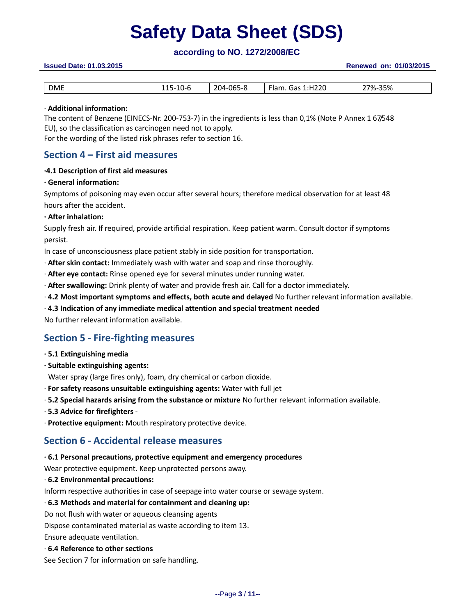# **according to NO. 1272/2008/EC**

### **Issued Date: 01.03.2015 Renewed on: 01/03/2015**

| <b>DME</b> | -<br>$1 - r$<br>∼-<br>∪ ש<br>--- | 204-065-8 | 1:H220<br>Flam.<br>Gas<br>_______ | 27%-35% |
|------------|----------------------------------|-----------|-----------------------------------|---------|

#### · **Additional information:**

The content of Benzene (EINECS-Nr. 200-753-7) in the ingredients is less than 0,1% (Note P Annex 1 67/548 EU), so the classification as carcinogen need not to apply.

For the wording of the listed risk phrases refer to section 16.

# **Section 4 – First aid measures**

#### **·4.1 Description of first aid measures**

#### **· General information:**

Symptoms of poisoning may even occur after several hours; therefore medical observation for at least 48 hours after the accident.

#### **· After inhalation:**

Supply fresh air. If required, provide artificial respiration. Keep patient warm. Consult doctor if symptoms persist.

In case of unconsciousness place patient stably in side position for transportation.

- · **After skin contact:** Immediately wash with water and soap and rinse thoroughly.
- · **After eye contact:** Rinse opened eye for several minutes under running water.
- · **After swallowing:** Drink plenty of water and provide fresh air. Call for a doctor immediately.
- · **4.2 Most important symptoms and effects, both acute and delayed** No further relevant information available.

### · **4.3 Indication of any immediate medical attention and special treatment needed**

No further relevant information available.

# **Section 5 - Fire-fighting measures**

- **· 5.1 Extinguishing media**
- **· Suitable extinguishing agents:**

Water spray (large fires only), foam, dry chemical or carbon dioxide.

- · **For safety reasons unsuitable extinguishing agents:** Water with full jet
- · **5.2 Special hazards arising from the substance or mixture** No further relevant information available.
- · **5.3 Advice for firefighters** -
- · **Protective equipment:** Mouth respiratory protective device.

# **Section 6 - Accidental release measures**

#### **· 6.1 Personal precautions, protective equipment and emergency procedures**

Wear protective equipment. Keep unprotected persons away.

· **6.2 Environmental precautions:**

Inform respective authorities in case of seepage into water course or sewage system.

### · **6.3 Methods and material for containment and cleaning up:**

Do not flush with water or aqueous cleansing agents

Dispose contaminated material as waste according to item 13.

Ensure adequate ventilation.

### · **6.4 Reference to other sections**

See Section 7 for information on safe handling.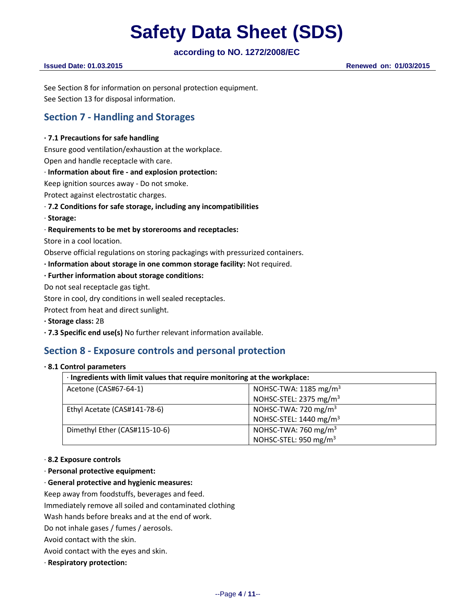# **according to NO. 1272/2008/EC**

**Issued Date: 01.03.2015 Renewed on: 01/03/2015**

See Section 8 for information on personal protection equipment. See Section 13 for disposal information.

# **Section 7 - Handling and Storages**

## **· 7.1 Precautions for safe handling**

Ensure good ventilation/exhaustion at the workplace. Open and handle receptacle with care.

## · **Information about fire - and explosion protection:**

Keep ignition sources away - Do not smoke.

Protect against electrostatic charges.

## · **7.2 Conditions for safe storage, including any incompatibilities**

· **Storage:**

## · **Requirements to be met by storerooms and receptacles:**

Store in a cool location.

Observe official regulations on storing packagings with pressurized containers.

**· Information about storage in one common storage facility:** Not required.

### **· Further information about storage conditions:**

Do not seal receptacle gas tight.

Store in cool, dry conditions in well sealed receptacles.

Protect from heat and direct sunlight.

- **· Storage class:** 2B
- **· 7.3 Specific end use(s)** No further relevant information available.

# **Section 8 - Exposure controls and personal protection**

#### **· 8.1 Control parameters**

| · Ingredients with limit values that require monitoring at the workplace: |                                    |  |
|---------------------------------------------------------------------------|------------------------------------|--|
| Acetone (CAS#67-64-1)                                                     | NOHSC-TWA: $1185 \text{ mg/m}^3$   |  |
|                                                                           | NOHSC-STEL: 2375 mg/m <sup>3</sup> |  |
| Ethyl Acetate (CAS#141-78-6)                                              | NOHSC-TWA: 720 mg/m <sup>3</sup>   |  |
|                                                                           | NOHSC-STEL: 1440 mg/m <sup>3</sup> |  |
| Dimethyl Ether (CAS#115-10-6)                                             | NOHSC-TWA: 760 mg/m <sup>3</sup>   |  |
|                                                                           | NOHSC-STEL: 950 mg/m <sup>3</sup>  |  |

### · **8.2 Exposure controls**

· **Personal protective equipment:**

### · **General protective and hygienic measures:**

Keep away from foodstuffs, beverages and feed.

Immediately remove all soiled and contaminated clothing

Wash hands before breaks and at the end of work.

Do not inhale gases / fumes / aerosols.

Avoid contact with the skin.

Avoid contact with the eyes and skin.

· **Respiratory protection:**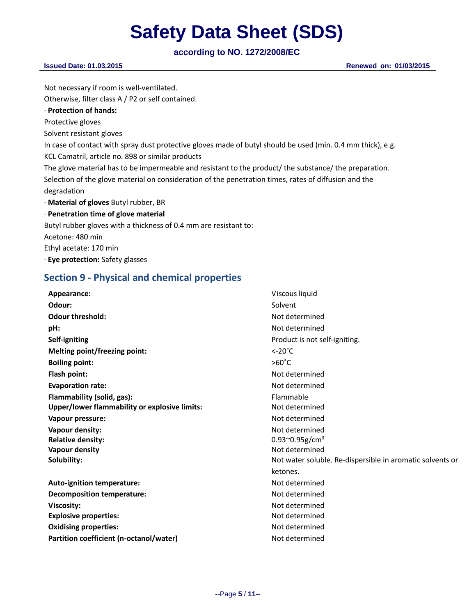**according to NO. 1272/2008/EC**

| $100001$ and $1000000$                                                                                      |                        |
|-------------------------------------------------------------------------------------------------------------|------------------------|
| <b>Issued Date: 01.03.2015</b>                                                                              | Renewed on: 01/03/2015 |
|                                                                                                             |                        |
| Not necessary if room is well-ventilated.                                                                   |                        |
| Otherwise, filter class A / P2 or self contained.                                                           |                        |
| $\cdot$ Protection of hands:                                                                                |                        |
| Protective gloves                                                                                           |                        |
| Solvent resistant gloves                                                                                    |                        |
| In case of contact with spray dust protective gloves made of butyl should be used (min. 0.4 mm thick), e.g. |                        |
| KCL Camatril, article no. 898 or similar products                                                           |                        |
| The glove material has to be impermeable and resistant to the product/ the substance/ the preparation.      |                        |
| Selection of the glove material on consideration of the penetration times, rates of diffusion and the       |                        |
| degradation                                                                                                 |                        |
| $\cdot$ Material of gloves Butyl rubber, BR                                                                 |                        |
| · Penetration time of glove material                                                                        |                        |
| Butyl rubber gloves with a thickness of 0.4 mm are resistant to:                                            |                        |
| Acetone: 480 min                                                                                            |                        |
| Ethyl acetate: 170 min                                                                                      |                        |
| · Eye protection: Safety glasses                                                                            |                        |

# **Section 9 - Physical and chemical properties**

| Appearance:                                   | Viscous liquid                                            |
|-----------------------------------------------|-----------------------------------------------------------|
| Odour:                                        | Solvent                                                   |
| <b>Odour threshold:</b>                       | Not determined                                            |
| pH:                                           | Not determined                                            |
| Self-igniting                                 | Product is not self-igniting.                             |
| Melting point/freezing point:                 | $\leq$ -20 $^{\circ}$ C                                   |
| <b>Boiling point:</b>                         | $>60^{\circ}$ C                                           |
| Flash point:                                  | Not determined                                            |
| <b>Evaporation rate:</b>                      | Not determined                                            |
| Flammability (solid, gas):                    | Flammable                                                 |
| Upper/lower flammability or explosive limits: | Not determined                                            |
| Vapour pressure:                              | Not determined                                            |
| Vapour density:                               | Not determined                                            |
| <b>Relative density:</b>                      | 0.93 $^{\circ}$ 0.95g/cm <sup>3</sup>                     |
| <b>Vapour density</b>                         | Not determined                                            |
| Solubility:                                   | Not water soluble. Re-dispersible in aromatic solvents or |
|                                               | ketones.                                                  |
| Auto-ignition temperature:                    | Not determined                                            |
| <b>Decomposition temperature:</b>             | Not determined                                            |
| Viscosity:                                    | Not determined                                            |
| <b>Explosive properties:</b>                  | Not determined                                            |
| <b>Oxidising properties:</b>                  | Not determined                                            |
| Partition coefficient (n-octanol/water)       | Not determined                                            |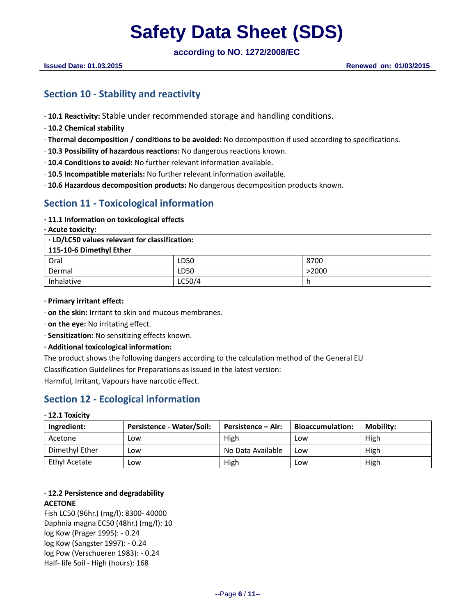**according to NO. 1272/2008/EC**

# **Section 10 - Stability and reactivity**

- **· 10.1 Reactivity:** Stable under recommended storage and handling conditions.
- **· 10.2 Chemical stability**
- · **Thermal decomposition / conditions to be avoided:** No decomposition if used according to specifications.
- · **10.3 Possibility of hazardous reactions:** No dangerous reactions known.
- · **10.4 Conditions to avoid:** No further relevant information available.
- · **10.5 Incompatible materials:** No further relevant information available.
- · **10.6 Hazardous decomposition products:** No dangerous decomposition products known.

# **Section 11 - Toxicological information**

**· 11.1 Information on toxicological effects**

**· Acute toxicity:**

**· LD/LC50 values relevant for classification:**

| 115-10-6 Dimethyl Ether |        |       |  |  |
|-------------------------|--------|-------|--|--|
| Oral                    | LD50   | 8700  |  |  |
| Dermal                  | LD50   | >2000 |  |  |
| Inhalative              | LC50/4 |       |  |  |

**· Primary irritant effect:**

· **on the skin:** Irritant to skin and mucous membranes.

- · **on the eye:** No irritating effect.
- · **Sensitization:** No sensitizing effects known.
- **· Additional toxicological information:**
- The product shows the following dangers according to the calculation method of the General EU

Classification Guidelines for Preparations as issued in the latest version:

Harmful, Irritant, Vapours have narcotic effect.

# **Section 12 - Ecological information**

### **· 12.1 Toxicity**

| Ingredient:    | Persistence - Water/Soil: | <b>Persistence – Air:</b> | <b>Bioaccumulation:</b> | <b>Mobility:</b> |
|----------------|---------------------------|---------------------------|-------------------------|------------------|
| Acetone        | Low                       | High                      | LOW                     | High             |
| Dimethyl Ether | Low                       | No Data Available         | LOW                     | High             |
| Ethyl Acetate  | Low                       | High                      | LOW                     | High             |

# **· 12.2 Persistence and degradability ACETONE**

Fish LC50 (96hr.) (mg/l): 8300- 40000 Daphnia magna EC50 (48hr.) (mg/l): 10 log Kow (Prager 1995): - 0.24 log Kow (Sangster 1997): - 0.24 log Pow (Verschueren 1983): - 0.24 Half- life Soil - High (hours): 168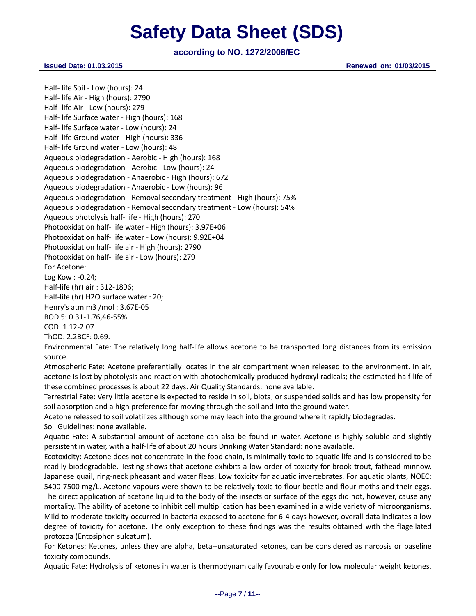# **according to NO. 1272/2008/EC**

**Issued Date: 01.03.2015 Renewed on: 01/03/2015**

Half- life Soil - Low (hours): 24 Half- life Air - High (hours): 2790 Half- life Air - Low (hours): 279 Half- life Surface water - High (hours): 168 Half- life Surface water - Low (hours): 24 Half- life Ground water - High (hours): 336 Half- life Ground water - Low (hours): 48 Aqueous biodegradation - Aerobic - High (hours): 168 Aqueous biodegradation - Aerobic - Low (hours): 24 Aqueous biodegradation - Anaerobic - High (hours): 672 Aqueous biodegradation - Anaerobic - Low (hours): 96 Aqueous biodegradation - Removal secondary treatment - High (hours): 75% Aqueous biodegradation - Removal secondary treatment - Low (hours): 54% Aqueous photolysis half- life - High (hours): 270 Photooxidation half- life water - High (hours): 3.97E+06 Photooxidation half- life water - Low (hours): 9.92E+04 Photooxidation half- life air - High (hours): 2790 Photooxidation half- life air - Low (hours): 279 For Acetone: Log Kow : -0.24; Half-life (hr) air : 312-1896; Half-life (hr) H2O surface water : 20; Henry's atm m3 /mol : 3.67E-05 BOD 5: 0.31-1.76,46-55% COD: 1.12-2.07 ThOD: 2.2BCF: 0.69. Environmental Fate: The relatively long half-life allows acetone to be transported long distances from its emission

source.

Atmospheric Fate: Acetone preferentially locates in the air compartment when released to the environment. In air, acetone is lost by photolysis and reaction with photochemically produced hydroxyl radicals; the estimated half-life of these combined processes is about 22 days. Air Quality Standards: none available.

Terrestrial Fate: Very little acetone is expected to reside in soil, biota, or suspended solids and has low propensity for soil absorption and a high preference for moving through the soil and into the ground water.

Acetone released to soil volatilizes although some may leach into the ground where it rapidly biodegrades. Soil Guidelines: none available.

Aquatic Fate: A substantial amount of acetone can also be found in water. Acetone is highly soluble and slightly persistent in water, with a half-life of about 20 hours Drinking Water Standard: none available.

Ecotoxicity: Acetone does not concentrate in the food chain, is minimally toxic to aquatic life and is considered to be readily biodegradable. Testing shows that acetone exhibits a low order of toxicity for brook trout, fathead minnow, Japanese quail, ring-neck pheasant and water fleas. Low toxicity for aquatic invertebrates. For aquatic plants, NOEC: 5400-7500 mg/L. Acetone vapours were shown to be relatively toxic to flour beetle and flour moths and their eggs. The direct application of acetone liquid to the body of the insects or surface of the eggs did not, however, cause any mortality. The ability of acetone to inhibit cell multiplication has been examined in a wide variety of microorganisms. Mild to moderate toxicity occurred in bacteria exposed to acetone for 6-4 days however, overall data indicates a low degree of toxicity for acetone. The only exception to these findings was the results obtained with the flagellated protozoa (Entosiphon sulcatum).

For Ketones: Ketones, unless they are alpha, beta--unsaturated ketones, can be considered as narcosis or baseline toxicity compounds.

Aquatic Fate: Hydrolysis of ketones in water is thermodynamically favourable only for low molecular weight ketones.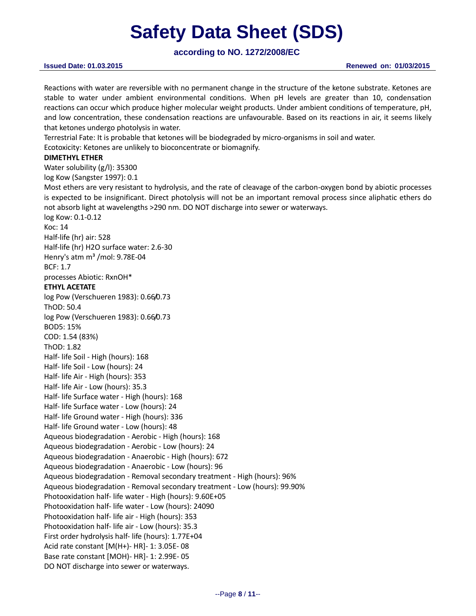**according to NO. 1272/2008/EC**

Reactions with water are reversible with no permanent change in the structure of the ketone substrate. Ketones are stable to water under ambient environmental conditions. When pH levels are greater than 10, condensation reactions can occur which produce higher molecular weight products. Under ambient conditions of temperature, pH, and low concentration, these condensation reactions are unfavourable. Based on its reactions in air, it seems likely that ketones undergo photolysis in water.

Terrestrial Fate: It is probable that ketones will be biodegraded by micro-organisms in soil and water. Ecotoxicity: Ketones are unlikely to bioconcentrate or biomagnify.

### **DIMETHYL ETHER**

Water solubility (g/l): 35300 log Kow (Sangster 1997): 0.1

Most ethers are very resistant to hydrolysis, and the rate of cleavage of the carbon-oxygen bond by abiotic processes is expected to be insignificant. Direct photolysis will not be an important removal process since aliphatic ethers do not absorb light at wavelengths >290 nm. DO NOT discharge into sewer or waterways.

log Kow: 0.1-0.12 Koc: 14 Half-life (hr) air: 528 Half-life (hr) H2O surface water: 2.6-30 Henry's atm m<sup>3</sup> /mol: 9.78E-04 BCF: 1.7 processes Abiotic: RxnOH\* **ETHYL ACETATE** log Pow (Verschueren 1983): 0.66/0.73 ThOD: 50.4 log Pow (Verschueren 1983): 0.66/0.73 BOD5: 15% COD: 1.54 (83%) ThOD: 1.82 Half- life Soil - High (hours): 168 Half- life Soil - Low (hours): 24 Half- life Air - High (hours): 353 Half- life Air - Low (hours): 35.3 Half- life Surface water - High (hours): 168 Half- life Surface water - Low (hours): 24 Half- life Ground water - High (hours): 336 Half- life Ground water - Low (hours): 48 Aqueous biodegradation - Aerobic - High (hours): 168 Aqueous biodegradation - Aerobic - Low (hours): 24 Aqueous biodegradation - Anaerobic - High (hours): 672 Aqueous biodegradation - Anaerobic - Low (hours): 96 Aqueous biodegradation - Removal secondary treatment - High (hours): 96% Aqueous biodegradation - Removal secondary treatment - Low (hours): 99.90% Photooxidation half- life water - High (hours): 9.60E+05 Photooxidation half- life water - Low (hours): 24090 Photooxidation half- life air - High (hours): 353 Photooxidation half- life air - Low (hours): 35.3 First order hydrolysis half- life (hours): 1.77E+04 Acid rate constant [M(H+)- HR]- 1: 3.05E- 08 Base rate constant [MOH)- HR]- 1: 2.99E- 05 DO NOT discharge into sewer or waterways.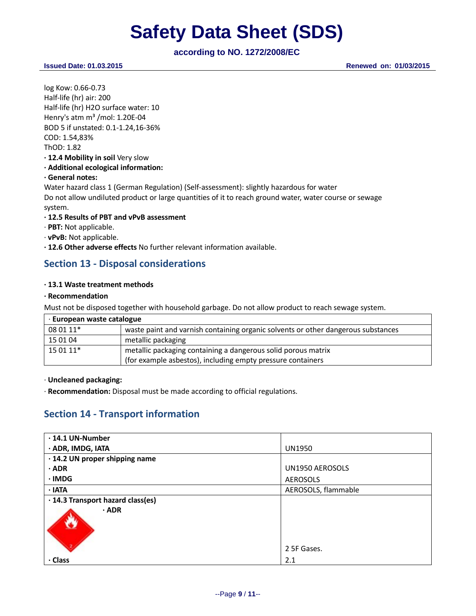# **according to NO. 1272/2008/EC**

**Issued Date: 01.03.2015 Renewed on: 01/03/2015**

log Kow: 0.66-0.73 Half-life (hr) air: 200 Half-life (hr) H2O surface water: 10 Henry's atm m<sup>3</sup> /mol: 1.20E-04 BOD 5 if unstated: 0.1-1.24,16-36% COD: 1.54,83% ThOD: 1.82 **· 12.4 Mobility in soil** Very slow **· Additional ecological information: · General notes:** Water hazard class 1 (German Regulation) (Self-assessment): slightly hazardous for water Do not allow undiluted product or large quantities of it to reach ground water, water course or sewage system.

### **· 12.5 Results of PBT and vPvB assessment**

- · **PBT:** Not applicable.
- · **vPvB:** Not applicable.
- **· 12.6 Other adverse effects** No further relevant information available.

# **Section 13 - Disposal considerations**

### **· 13.1 Waste treatment methods**

### **· Recommendation**

Must not be disposed together with household garbage. Do not allow product to reach sewage system.

| European waste catalogue |                                                                                   |  |  |
|--------------------------|-----------------------------------------------------------------------------------|--|--|
| 08 01 11*                | waste paint and varnish containing organic solvents or other dangerous substances |  |  |
| 15 01 04                 | metallic packaging                                                                |  |  |
| $150111*$                | metallic packaging containing a dangerous solid porous matrix                     |  |  |
|                          | (for example asbestos), including empty pressure containers                       |  |  |

· **Uncleaned packaging:**

· **Recommendation:** Disposal must be made according to official regulations.

# **Section 14 - Transport information**

| $\cdot$ 14.1 UN-Number            |                     |
|-----------------------------------|---------------------|
| · ADR, IMDG, IATA                 | <b>UN1950</b>       |
| · 14.2 UN proper shipping name    |                     |
| $\cdot$ ADR                       | UN1950 AEROSOLS     |
| · IMDG                            | AEROSOLS            |
| $\cdot$ IATA                      | AEROSOLS, flammable |
| · 14.3 Transport hazard class(es) |                     |
| $\cdot$ ADR                       |                     |
|                                   | 2 5F Gases.         |
| · Class                           | 2.1                 |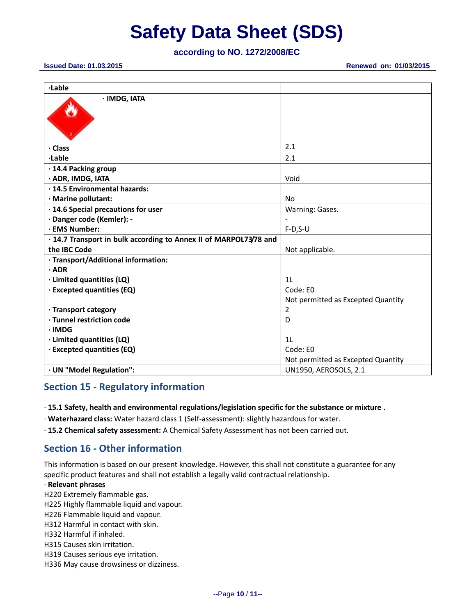**according to NO. 1272/2008/EC**

| <b>Issued Date: 01.03.2015</b> |  |  |  |  |
|--------------------------------|--|--|--|--|
|--------------------------------|--|--|--|--|

**Issued Date: 01.03.2015 Renewed on: 01/03/2015**

| ·Lable                                                            |                                    |
|-------------------------------------------------------------------|------------------------------------|
| · IMDG, IATA                                                      |                                    |
| · Class                                                           | 2.1                                |
| ·Lable                                                            | 2.1                                |
| · 14.4 Packing group                                              |                                    |
| · ADR, IMDG, IATA                                                 | Void                               |
| · 14.5 Environmental hazards:                                     |                                    |
| · Marine pollutant:                                               | <b>No</b>                          |
| · 14.6 Special precautions for user                               | Warning: Gases.                    |
| · Danger code (Kemler): -                                         |                                    |
| · EMS Number:                                                     | $F-D, S-U$                         |
| · 14.7 Transport in bulk according to Annex II of MARPOL73/78 and |                                    |
| the IBC Code                                                      | Not applicable.                    |
| · Transport/Additional information:                               |                                    |
| $\cdot$ ADR                                                       |                                    |
| · Limited quantities (LQ)                                         | 1 <sub>L</sub>                     |
| · Excepted quantities (EQ)                                        | Code: E0                           |
|                                                                   | Not permitted as Excepted Quantity |
| · Transport category                                              | 2                                  |
| · Tunnel restriction code                                         | D                                  |
| $\cdot$ IMDG                                                      |                                    |
| · Limited quantities (LQ)                                         | 1 <sub>L</sub>                     |
| · Excepted quantities (EQ)                                        | Code: E0                           |
|                                                                   | Not permitted as Excepted Quantity |
| · UN "Model Regulation":                                          | <b>UN1950, AEROSOLS, 2.1</b>       |

# **Section 15 - Regulatory information**

· **15.1 Safety, health and environmental regulations/legislation specific for the substance or mixture** .

- · **Waterhazard class:** Water hazard class 1 (Self-assessment): slightly hazardous for water.
- · **15.2 Chemical safety assessment:** A Chemical Safety Assessment has not been carried out.

# **Section 16 - Other information**

This information is based on our present knowledge. However, this shall not constitute a guarantee for any specific product features and shall not establish a legally valid contractual relationship.

### · **Relevant phrases**

- H220 Extremely flammable gas.
- H225 Highly flammable liquid and vapour.
- H226 Flammable liquid and vapour.
- H312 Harmful in contact with skin.
- H332 Harmful if inhaled.
- H315 Causes skin irritation.
- H319 Causes serious eye irritation.
- H336 May cause drowsiness or dizziness.